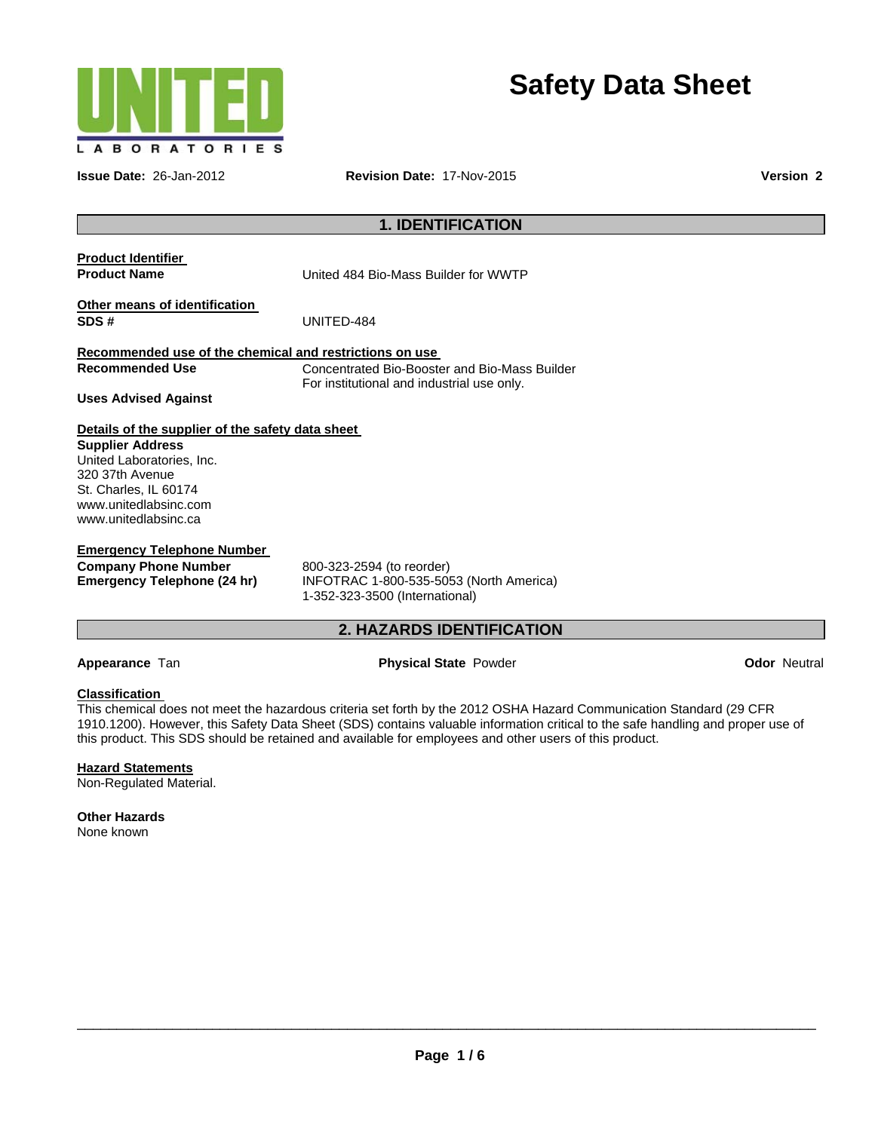

**Safety Data Sheet** 

**Issue Date:** 26-Jan-2012 **Revision Date:** 17-Nov-2015 **Version 2**

# **1. IDENTIFICATION**

**Product Identifier** 

**Product Name** United 484 Bio-Mass Builder for WWTP

**Other means of identification SDS #** UNITED-484

# **Recommended use of the chemical and restrictions on use**

**Recommended Use**  Concentrated Bio-Booster and Bio-Mass Builder For institutional and industrial use only.

**Uses Advised Against** 

## **Details of the supplier of the safety data sheet**

**Supplier Address**  United Laboratories, Inc. 320 37th Avenue St. Charles, IL 60174 www.unitedlabsinc.com www.unitedlabsinc.ca

**Emergency Telephone Number Company Phone Number**  800-323-2594 (to reorder)<br> **Emergency Telephone (24 hr)** INFOTRAC 1-800-535-509

**Emergency Telephone (24 hr)** INFOTRAC 1-800-535-5053 (North America) 1-352-323-3500 (International)

# **2. HAZARDS IDENTIFICATION**

## **Appearance Tan <b>Physical State** Powder **Provider Appearance Tan Odor Neutral Odor**

## **Classification**

This chemical does not meet the hazardous criteria set forth by the 2012 OSHA Hazard Communication Standard (29 CFR 1910.1200). However, this Safety Data Sheet (SDS) contains valuable information critical to the safe handling and proper use of this product. This SDS should be retained and available for employees and other users of this product.

## **Hazard Statements**

Non-Regulated Material.

**Other Hazards**  None known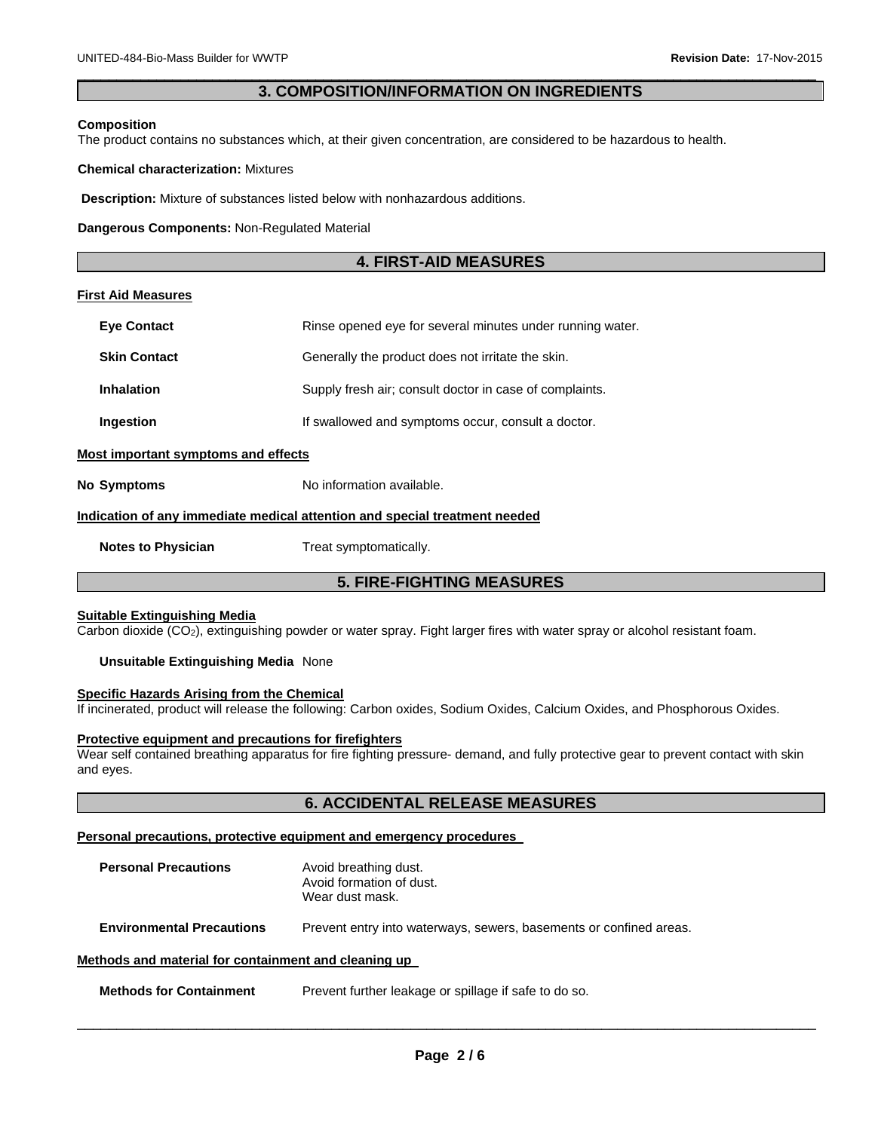## $\Box$ **3. COMPOSITION/INFORMATION ON INGREDIENTS**

#### **Composition**

The product contains no substances which, at their given concentration, are considered to be hazardous to health.

#### **Chemical characterization:** Mixtures

**Description:** Mixture of substances listed below with nonhazardous additions.

**Dangerous Components:** Non-Regulated Material

# **4. FIRST-AID MEASURES**

### **First Aid Measures**

| <b>Eve Contact</b>                  | Rinse opened eye for several minutes under running water.                  |
|-------------------------------------|----------------------------------------------------------------------------|
| <b>Skin Contact</b>                 | Generally the product does not irritate the skin.                          |
| <b>Inhalation</b>                   | Supply fresh air; consult doctor in case of complaints.                    |
| Ingestion                           | If swallowed and symptoms occur, consult a doctor.                         |
| Most important symptoms and effects |                                                                            |
| <b>No Symptoms</b>                  | No information available.                                                  |
|                                     | Indication of any immediate medical attention and special treatment needed |
| <b>Notes to Physician</b>           | Treat symptomatically.                                                     |

# **5. FIRE-FIGHTING MEASURES**

# **Suitable Extinguishing Media**

Carbon dioxide (CO2), extinguishing powder or water spray. Fight larger fires with water spray or alcohol resistant foam.

### **Unsuitable Extinguishing Media** None

#### **Specific Hazards Arising from the Chemical**

If incinerated, product will release the following: Carbon oxides, Sodium Oxides, Calcium Oxides, and Phosphorous Oxides.

#### **Protective equipment and precautions for firefighters**

Wear self contained breathing apparatus for fire fighting pressure- demand, and fully protective gear to prevent contact with skin and eyes.

# **6. ACCIDENTAL RELEASE MEASURES**

#### **Personal precautions, protective equipment and emergency procedures**

| <b>Personal Precautions</b>                          | Avoid breathing dust.<br>Avoid formation of dust.<br>Wear dust mask. |  |  |
|------------------------------------------------------|----------------------------------------------------------------------|--|--|
| <b>Environmental Precautions</b>                     | Prevent entry into waterways, sewers, basements or confined areas.   |  |  |
| Methods and material for containment and cleaning up |                                                                      |  |  |

**Methods for Containment** Prevent further leakage or spillage if safe to do so.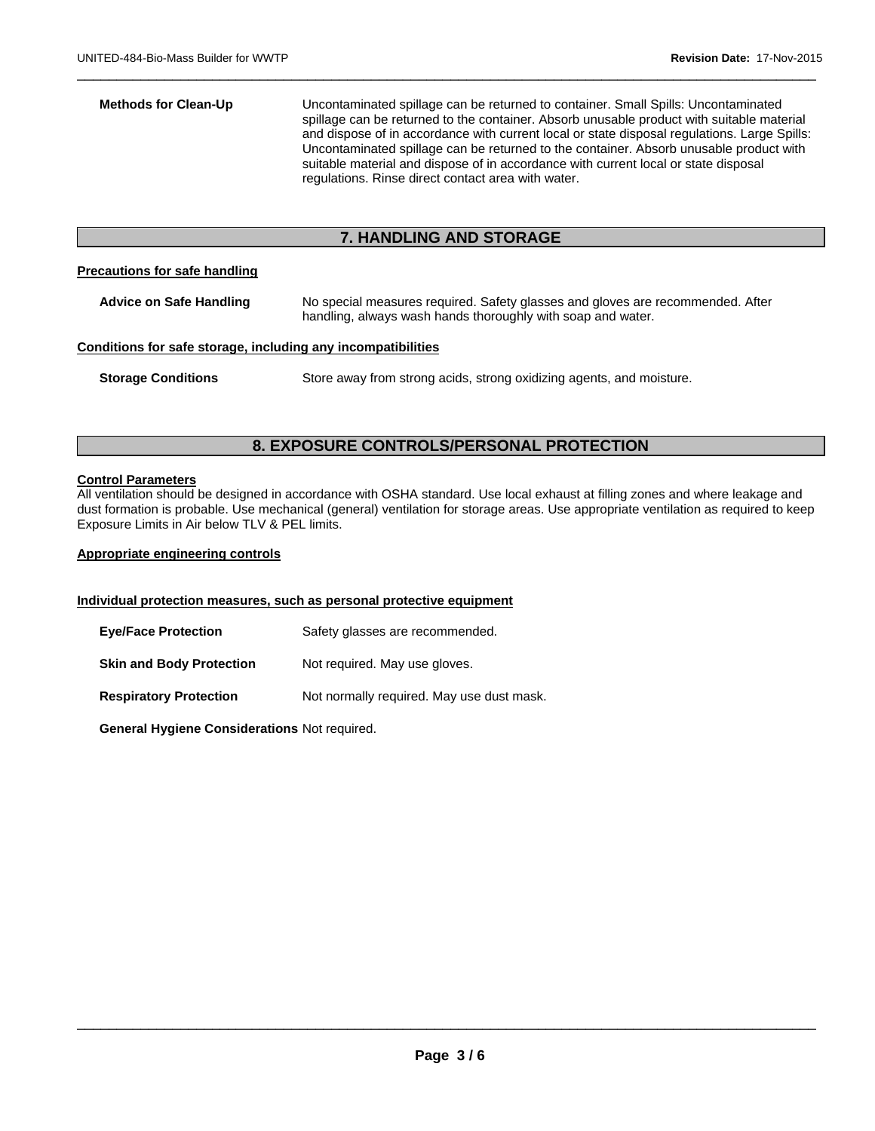| <b>Methods for Clean-Up</b>                                  | Uncontaminated spillage can be returned to container. Small Spills: Uncontaminated<br>spillage can be returned to the container. Absorb unusable product with suitable material<br>and dispose of in accordance with current local or state disposal regulations. Large Spills:<br>Uncontaminated spillage can be returned to the container. Absorb unusable product with<br>suitable material and dispose of in accordance with current local or state disposal<br>regulations. Rinse direct contact area with water. |  |  |
|--------------------------------------------------------------|------------------------------------------------------------------------------------------------------------------------------------------------------------------------------------------------------------------------------------------------------------------------------------------------------------------------------------------------------------------------------------------------------------------------------------------------------------------------------------------------------------------------|--|--|
| <b>7. HANDLING AND STORAGE</b>                               |                                                                                                                                                                                                                                                                                                                                                                                                                                                                                                                        |  |  |
| <b>Precautions for safe handling</b>                         |                                                                                                                                                                                                                                                                                                                                                                                                                                                                                                                        |  |  |
| <b>Advice on Safe Handling</b>                               | No special measures required. Safety glasses and gloves are recommended. After<br>handling, always wash hands thoroughly with soap and water.                                                                                                                                                                                                                                                                                                                                                                          |  |  |
| Conditions for safe storage, including any incompatibilities |                                                                                                                                                                                                                                                                                                                                                                                                                                                                                                                        |  |  |
| <b>Storage Conditions</b>                                    | Store away from strong acids, strong oxidizing agents, and moisture.                                                                                                                                                                                                                                                                                                                                                                                                                                                   |  |  |

 $\Box$ 

# **8. EXPOSURE CONTROLS/PERSONAL PROTECTION**

### **Control Parameters**

All ventilation should be designed in accordance with OSHA standard. Use local exhaust at filling zones and where leakage and dust formation is probable. Use mechanical (general) ventilation for storage areas. Use appropriate ventilation as required to keep Exposure Limits in Air below TLV & PEL limits.

### **Appropriate engineering controls**

# **Individual protection measures, such as personal protective equipment**

| <b>Eye/Face Protection</b>      | Safety glasses are recommended.           |
|---------------------------------|-------------------------------------------|
| <b>Skin and Body Protection</b> | Not required. May use gloves.             |
| <b>Respiratory Protection</b>   | Not normally required. May use dust mask. |

**General Hygiene Considerations** Not required.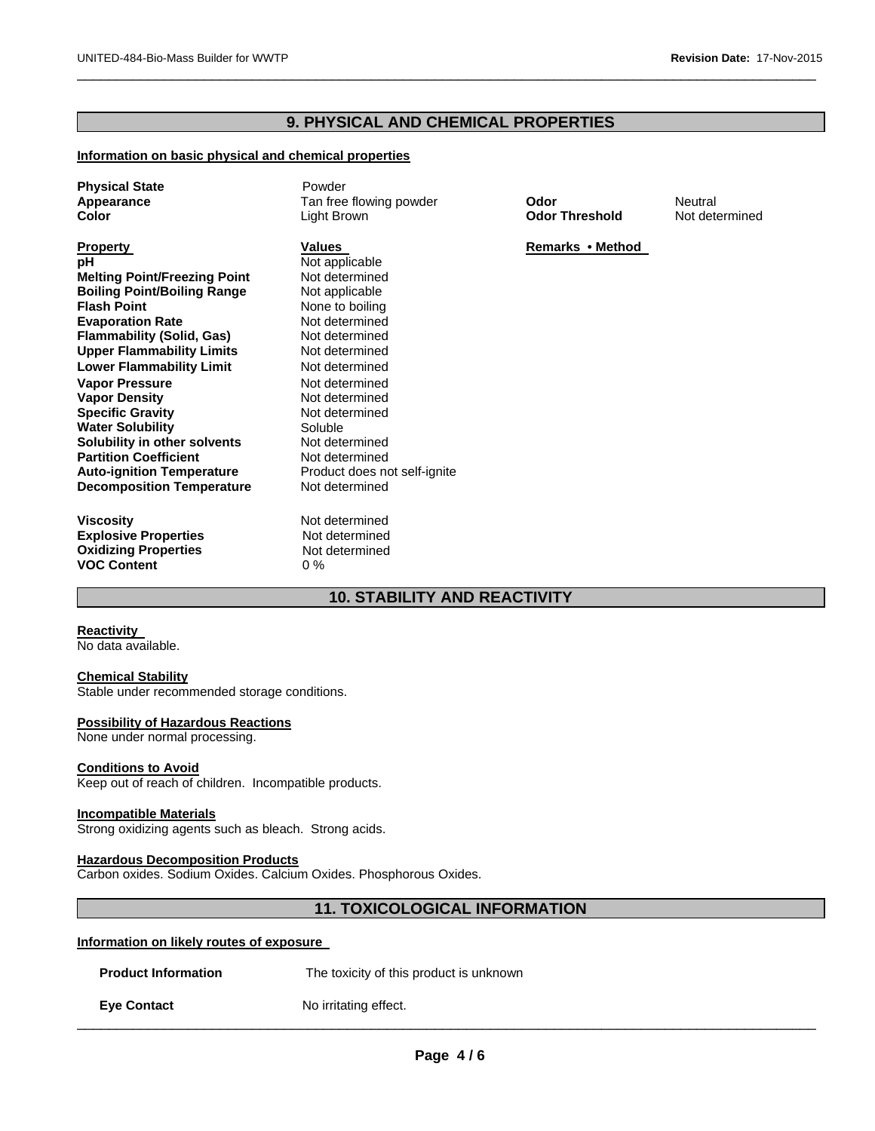# **9. PHYSICAL AND CHEMICAL PROPERTIES**

 $\Box$ 

## **Information on basic physical and chemical properties**

| <b>Physical State</b><br>Appearance<br>Color                                                                                                                                                                                                                                                                                                                                                                                                                                                                  | Powder<br>Tan free flowing powder<br>Light Brown                                                                                                                                                                                                                                                               | Odor<br><b>Odor Threshold</b> | Neutral<br>Not determined |
|---------------------------------------------------------------------------------------------------------------------------------------------------------------------------------------------------------------------------------------------------------------------------------------------------------------------------------------------------------------------------------------------------------------------------------------------------------------------------------------------------------------|----------------------------------------------------------------------------------------------------------------------------------------------------------------------------------------------------------------------------------------------------------------------------------------------------------------|-------------------------------|---------------------------|
| <b>Property</b><br>рH<br><b>Melting Point/Freezing Point</b><br><b>Boiling Point/Boiling Range</b><br><b>Flash Point</b><br><b>Evaporation Rate</b><br><b>Flammability (Solid, Gas)</b><br><b>Upper Flammability Limits</b><br><b>Lower Flammability Limit</b><br><b>Vapor Pressure</b><br><b>Vapor Density</b><br><b>Specific Gravity</b><br><b>Water Solubility</b><br>Solubility in other solvents<br><b>Partition Coefficient</b><br><b>Auto-ignition Temperature</b><br><b>Decomposition Temperature</b> | Values<br>Not applicable<br>Not determined<br>Not applicable<br>None to boiling<br>Not determined<br>Not determined<br>Not determined<br>Not determined<br>Not determined<br>Not determined<br>Not determined<br>Soluble<br>Not determined<br>Not determined<br>Product does not self-ignite<br>Not determined | Remarks • Method              |                           |
| <b>Viscosity</b><br><b>Explosive Properties</b><br><b>Oxidizing Properties</b><br><b>VOC Content</b>                                                                                                                                                                                                                                                                                                                                                                                                          | Not determined<br>Not determined<br>Not determined<br>$0\%$                                                                                                                                                                                                                                                    |                               |                           |

# **10. STABILITY AND REACTIVITY**

# **Reactivity**

No data available.

# **Chemical Stability**

Stable under recommended storage conditions.

#### **Possibility of Hazardous Reactions**

None under normal processing.

#### **Conditions to Avoid**

Keep out of reach of children. Incompatible products.

#### **Incompatible Materials**

Strong oxidizing agents such as bleach. Strong acids.

# **Hazardous Decomposition Products**

Carbon oxides. Sodium Oxides. Calcium Oxides. Phosphorous Oxides.

# **11. TOXICOLOGICAL INFORMATION**

## **Information on likely routes of exposure**

|  | <b>Product Information</b> |  |
|--|----------------------------|--|
|  |                            |  |

The toxicity of this product is unknown

**Eye Contact** No irritating effect.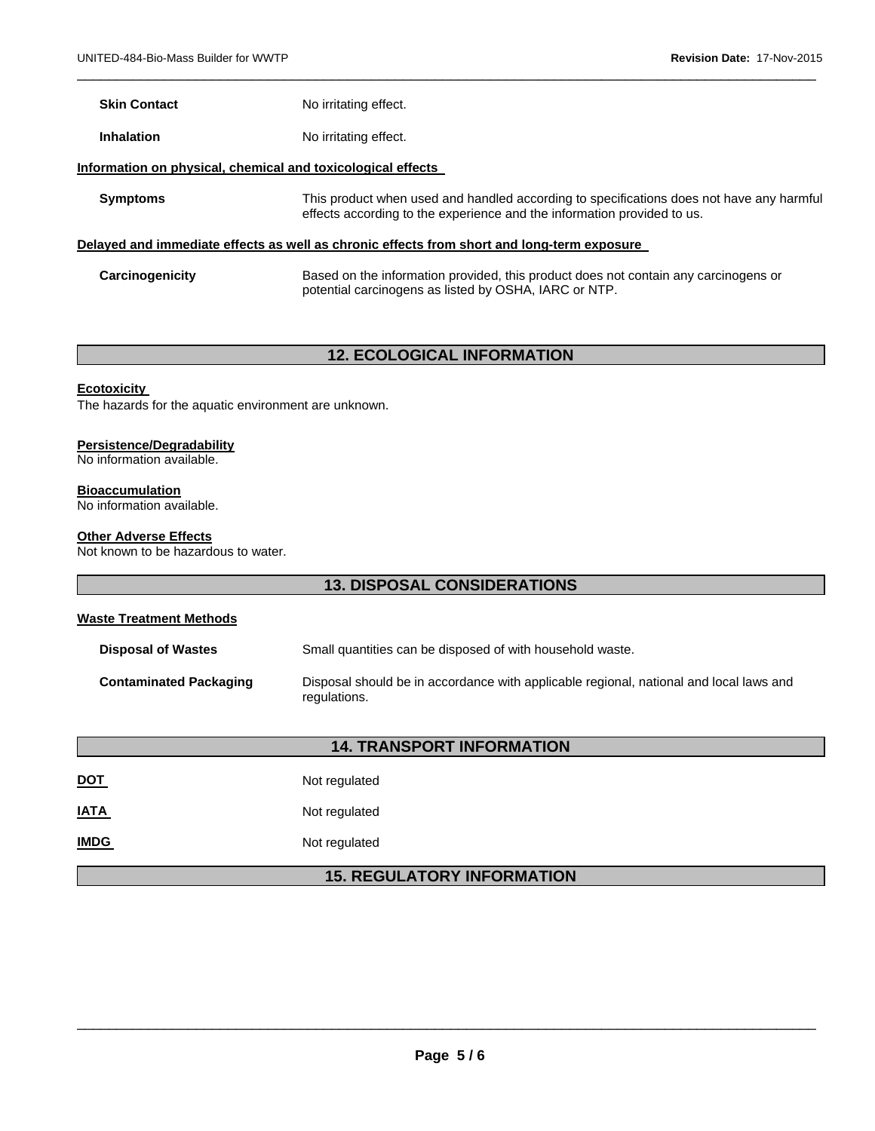| <b>Skin Contact</b> | No irritating effect.                                                                                                                                               |
|---------------------|---------------------------------------------------------------------------------------------------------------------------------------------------------------------|
| <b>Inhalation</b>   | No irritating effect.                                                                                                                                               |
|                     | Information on physical, chemical and toxicological effects                                                                                                         |
| <b>Symptoms</b>     | This product when used and handled according to specifications does not have any harmful<br>effects according to the experience and the information provided to us. |
|                     | Delayed and immediate effects as well as chronic effects from short and long-term exposure                                                                          |
| Carcinogenicity     | Based on the information provided, this product does not contain any carcinogens or<br>potential carcinogens as listed by OSHA, IARC or NTP.                        |

 $\Box$ 

# **12. ECOLOGICAL INFORMATION**

### **Ecotoxicity**

The hazards for the aquatic environment are unknown.

#### **Persistence/Degradability**

No information available.

**Bioaccumulation**  No information available.

### **Other Adverse Effects**

Not known to be hazardous to water.

# **13. DISPOSAL CONSIDERATIONS**

# **Waste Treatment Methods**

| <b>Disposal of Wastes</b>     | Small quantities can be disposed of with household waste.                                              |
|-------------------------------|--------------------------------------------------------------------------------------------------------|
| <b>Contaminated Packaging</b> | Disposal should be in accordance with applicable regional, national and local laws and<br>regulations. |

# **14. TRANSPORT INFORMATION**

| <b>DOT</b> | Not regulated |
|------------|---------------|
|            |               |

**IATA** Not regulated

**IMDG** Not regulated

# **15. REGULATORY INFORMATION**